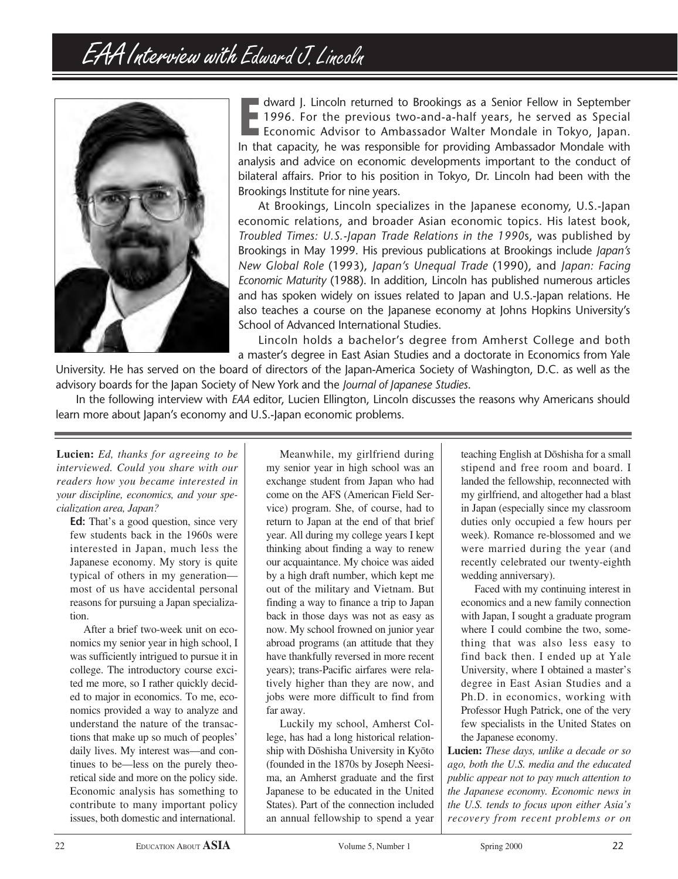## EAA Interview with Edward J. Lincoln



dward J. Lincoln returned to Brookings as a Senior Fellow in September<br>1996. For the previous two-and-a-half years, he served as Special<br>Economic Advisor to Ambassador Walter Mondale in Tokyo, Japan.<br>In that capacity, he w dward J. Lincoln returned to Brookings as a Senior Fellow in September 1996. For the previous two-and-a-half years, he served as Special Economic Advisor to Ambassador Walter Mondale in Tokyo, Japan. analysis and advice on economic developments important to the conduct of bilateral affairs. Prior to his position in Tokyo, Dr. Lincoln had been with the Brookings Institute for nine years.

At Brookings, Lincoln specializes in the Japanese economy, U.S.-Japan economic relations, and broader Asian economic topics. His latest book, *Troubled Times: U.S.-Japan Trade Relations in the 1990*s, was published by Brookings in May 1999. His previous publications at Brookings include *Japan's New Global Role* (1993), *Japan's Unequal Trade* (1990), and *Japan: Facing Economic Maturity* (1988). In addition, Lincoln has published numerous articles and has spoken widely on issues related to Japan and U.S.-Japan relations. He also teaches a course on the Japanese economy at Johns Hopkins University's School of Advanced International Studies.

Lincoln holds a bachelor's degree from Amherst College and both a master's degree in East Asian Studies and a doctorate in Economics from Yale

University. He has served on the board of directors of the Japan-America Society of Washington, D.C. as well as the advisory boards for the Japan Society of New York and the *Journal of Japanese Studies*.

In the following interview with *EAA* editor, Lucien Ellington, Lincoln discusses the reasons why Americans should learn more about Japan's economy and U.S.-Japan economic problems.

**Lucien:** *Ed, thanks for agreeing to be interviewed. Could you share with our readers how you became interested in your discipline, economics, and your specialization area, Japan?*

**Ed:** That's a good question, since very few students back in the 1960s were interested in Japan, much less the Japanese economy. My story is quite typical of others in my generation most of us have accidental personal reasons for pursuing a Japan specialization.

After a brief two-week unit on economics my senior year in high school, I was sufficiently intrigued to pursue it in college. The introductory course excited me more, so I rather quickly decided to major in economics. To me, economics provided a way to analyze and understand the nature of the transactions that make up so much of peoples' daily lives. My interest was—and continues to be—less on the purely theoretical side and more on the policy side. Economic analysis has something to contribute to many important policy issues, both domestic and international.

Meanwhile, my girlfriend during my senior year in high school was an exchange student from Japan who had come on the AFS (American Field Service) program. She, of course, had to return to Japan at the end of that brief year. All during my college years I kept thinking about finding a way to renew our acquaintance. My choice was aided by a high draft number, which kept me out of the military and Vietnam. But finding a way to finance a trip to Japan back in those days was not as easy as now. My school frowned on junior year abroad programs (an attitude that they have thankfully reversed in more recent years); trans-Pacific airfares were relatively higher than they are now, and jobs were more difficult to find from far away.

Luckily my school, Amherst College, has had a long historical relationship with Dōshisha University in Kyōto (founded in the 1870s by Joseph Neesima, an Amherst graduate and the first Japanese to be educated in the United States). Part of the connection included an annual fellowship to spend a year teaching English at Dōshisha for a small stipend and free room and board. I landed the fellowship, reconnected with my girlfriend, and altogether had a blast in Japan (especially since my classroom duties only occupied a few hours per week). Romance re-blossomed and we were married during the year (and recently celebrated our twenty-eighth wedding anniversary).

Faced with my continuing interest in economics and a new family connection with Japan, I sought a graduate program where I could combine the two, something that was also less easy to find back then. I ended up at Yale University, where I obtained a master's degree in East Asian Studies and a Ph.D. in economics, working with Professor Hugh Patrick, one of the very few specialists in the United States on the Japanese economy.

**Lucien:** *These days, unlike a decade or so ago, both the U.S. media and the educated public appear not to pay much attention to the Japanese economy. Economic news in the U.S. tends to focus upon either Asia's recovery from recent problems or on*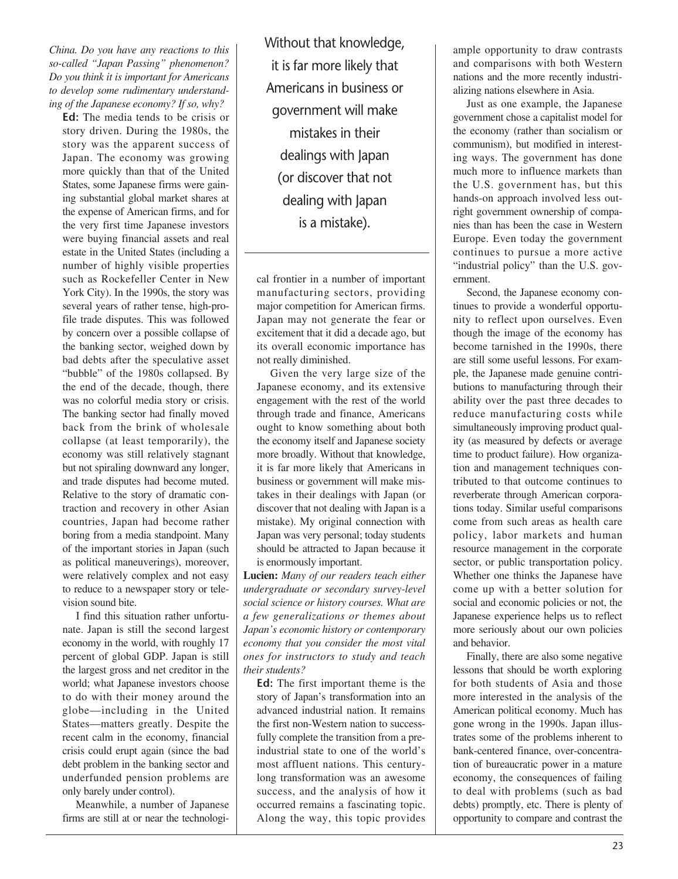*China. Do you have any reactions to this so-called "Japan Passing" phenomenon? Do you think it is important for Americans to develop some rudimentary understanding of the Japanese economy? If so, why?*

**Ed:** The media tends to be crisis or story driven. During the 1980s, the story was the apparent success of Japan. The economy was growing more quickly than that of the United States, some Japanese firms were gaining substantial global market shares at the expense of American firms, and for the very first time Japanese investors were buying financial assets and real estate in the United States (including a number of highly visible properties such as Rockefeller Center in New York City). In the 1990s, the story was several years of rather tense, high-profile trade disputes. This was followed by concern over a possible collapse of the banking sector, weighed down by bad debts after the speculative asset "bubble" of the 1980s collapsed. By the end of the decade, though, there was no colorful media story or crisis. The banking sector had finally moved back from the brink of wholesale collapse (at least temporarily), the economy was still relatively stagnant but not spiraling downward any longer, and trade disputes had become muted. Relative to the story of dramatic contraction and recovery in other Asian countries, Japan had become rather boring from a media standpoint. Many of the important stories in Japan (such as political maneuverings), moreover, were relatively complex and not easy to reduce to a newspaper story or television sound bite.

I find this situation rather unfortunate. Japan is still the second largest economy in the world, with roughly 17 percent of global GDP. Japan is still the largest gross and net creditor in the world; what Japanese investors choose to do with their money around the globe—including in the United States—matters greatly. Despite the recent calm in the economy, financial crisis could erupt again (since the bad debt problem in the banking sector and underfunded pension problems are only barely under control).

Meanwhile, a number of Japanese firms are still at or near the technologiWithout that knowledge, it is far more likely that Americans in business or government will make mistakes in their dealings with Japan (or discover that not dealing with Japan is a mistake).

cal frontier in a number of important manufacturing sectors, providing major competition for American firms. Japan may not generate the fear or excitement that it did a decade ago, but its overall economic importance has not really diminished.

Given the very large size of the Japanese economy, and its extensive engagement with the rest of the world through trade and finance, Americans ought to know something about both the economy itself and Japanese society more broadly. Without that knowledge, it is far more likely that Americans in business or government will make mistakes in their dealings with Japan (or discover that not dealing with Japan is a mistake). My original connection with Japan was very personal; today students should be attracted to Japan because it is enormously important.

**Lucien:** *Many of our readers teach either undergraduate or secondary survey-level social science or history courses. What are a few generalizations or themes about Japan's economic history or contemporary economy that you consider the most vital ones for instructors to study and teach their students?*

**Ed:** The first important theme is the story of Japan's transformation into an advanced industrial nation. It remains the first non-Western nation to successfully complete the transition from a preindustrial state to one of the world's most affluent nations. This centurylong transformation was an awesome success, and the analysis of how it occurred remains a fascinating topic. Along the way, this topic provides ample opportunity to draw contrasts and comparisons with both Western nations and the more recently industrializing nations elsewhere in Asia.

Just as one example, the Japanese government chose a capitalist model for the economy (rather than socialism or communism), but modified in interesting ways. The government has done much more to influence markets than the U.S. government has, but this hands-on approach involved less outright government ownership of companies than has been the case in Western Europe. Even today the government continues to pursue a more active "industrial policy" than the U.S. government.

Second, the Japanese economy continues to provide a wonderful opportunity to reflect upon ourselves. Even though the image of the economy has become tarnished in the 1990s, there are still some useful lessons. For example, the Japanese made genuine contributions to manufacturing through their ability over the past three decades to reduce manufacturing costs while simultaneously improving product quality (as measured by defects or average time to product failure). How organization and management techniques contributed to that outcome continues to reverberate through American corporations today. Similar useful comparisons come from such areas as health care policy, labor markets and human resource management in the corporate sector, or public transportation policy. Whether one thinks the Japanese have come up with a better solution for social and economic policies or not, the Japanese experience helps us to reflect more seriously about our own policies and behavior.

Finally, there are also some negative lessons that should be worth exploring for both students of Asia and those more interested in the analysis of the American political economy. Much has gone wrong in the 1990s. Japan illustrates some of the problems inherent to bank-centered finance, over-concentration of bureaucratic power in a mature economy, the consequences of failing to deal with problems (such as bad debts) promptly, etc. There is plenty of opportunity to compare and contrast the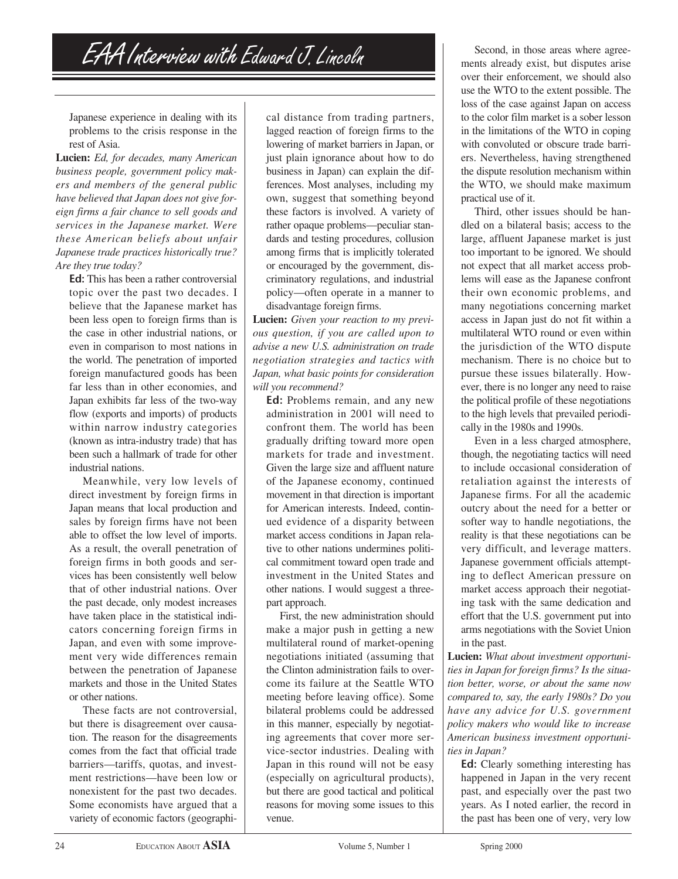EAA Interview with Edward J. Lincoln

Japanese experience in dealing with its problems to the crisis response in the rest of Asia.

**Lucien:** *Ed, for decades, many American business people, government policy makers and members of the general public have believed that Japan does not give foreign firms a fair chance to sell goods and services in the Japanese market. Were these American beliefs about unfair Japanese trade practices historically true? Are they true today?*

**Ed:** This has been a rather controversial topic over the past two decades. I believe that the Japanese market has been less open to foreign firms than is the case in other industrial nations, or even in comparison to most nations in the world. The penetration of imported foreign manufactured goods has been far less than in other economies, and Japan exhibits far less of the two-way flow (exports and imports) of products within narrow industry categories (known as intra-industry trade) that has been such a hallmark of trade for other industrial nations.

Meanwhile, very low levels of direct investment by foreign firms in Japan means that local production and sales by foreign firms have not been able to offset the low level of imports. As a result, the overall penetration of foreign firms in both goods and services has been consistently well below that of other industrial nations. Over the past decade, only modest increases have taken place in the statistical indicators concerning foreign firms in Japan, and even with some improvement very wide differences remain between the penetration of Japanese markets and those in the United States or other nations.

These facts are not controversial, but there is disagreement over causation. The reason for the disagreements comes from the fact that official trade barriers—tariffs, quotas, and investment restrictions—have been low or nonexistent for the past two decades. Some economists have argued that a variety of economic factors (geographi-

cal distance from trading partners, lagged reaction of foreign firms to the lowering of market barriers in Japan, or just plain ignorance about how to do business in Japan) can explain the differences. Most analyses, including my own, suggest that something beyond these factors is involved. A variety of rather opaque problems—peculiar standards and testing procedures, collusion among firms that is implicitly tolerated or encouraged by the government, discriminatory regulations, and industrial policy—often operate in a manner to disadvantage foreign firms.

**Lucien:** *Given your reaction to my previous question, if you are called upon to advise a new U.S. administration on trade negotiation strategies and tactics with Japan, what basic points for consideration will you recommend?*

**Ed:** Problems remain, and any new administration in 2001 will need to confront them. The world has been gradually drifting toward more open markets for trade and investment. Given the large size and affluent nature of the Japanese economy, continued movement in that direction is important for American interests. Indeed, continued evidence of a disparity between market access conditions in Japan relative to other nations undermines political commitment toward open trade and investment in the United States and other nations. I would suggest a threepart approach.

First, the new administration should make a major push in getting a new multilateral round of market-opening negotiations initiated (assuming that the Clinton administration fails to overcome its failure at the Seattle WTO meeting before leaving office). Some bilateral problems could be addressed in this manner, especially by negotiating agreements that cover more service-sector industries. Dealing with Japan in this round will not be easy (especially on agricultural products), but there are good tactical and political reasons for moving some issues to this venue.

Second, in those areas where agreements already exist, but disputes arise over their enforcement, we should also use the WTO to the extent possible. The loss of the case against Japan on access to the color film market is a sober lesson in the limitations of the WTO in coping with convoluted or obscure trade barriers. Nevertheless, having strengthened the dispute resolution mechanism within the WTO, we should make maximum practical use of it.

Third, other issues should be handled on a bilateral basis; access to the large, affluent Japanese market is just too important to be ignored. We should not expect that all market access problems will ease as the Japanese confront their own economic problems, and many negotiations concerning market access in Japan just do not fit within a multilateral WTO round or even within the jurisdiction of the WTO dispute mechanism. There is no choice but to pursue these issues bilaterally. However, there is no longer any need to raise the political profile of these negotiations to the high levels that prevailed periodically in the 1980s and 1990s.

Even in a less charged atmosphere, though, the negotiating tactics will need to include occasional consideration of retaliation against the interests of Japanese firms. For all the academic outcry about the need for a better or softer way to handle negotiations, the reality is that these negotiations can be very difficult, and leverage matters. Japanese government officials attempting to deflect American pressure on market access approach their negotiating task with the same dedication and effort that the U.S. government put into arms negotiations with the Soviet Union in the past.

**Lucien:** *What about investment opportunities in Japan for foreign firms? Is the situation better, worse, or about the same now compared to, say, the early 1980s? Do you have any advice for U.S. government policy makers who would like to increase American business investment opportunities in Japan?*

**Ed:** Clearly something interesting has happened in Japan in the very recent past, and especially over the past two years. As I noted earlier, the record in the past has been one of very, very low